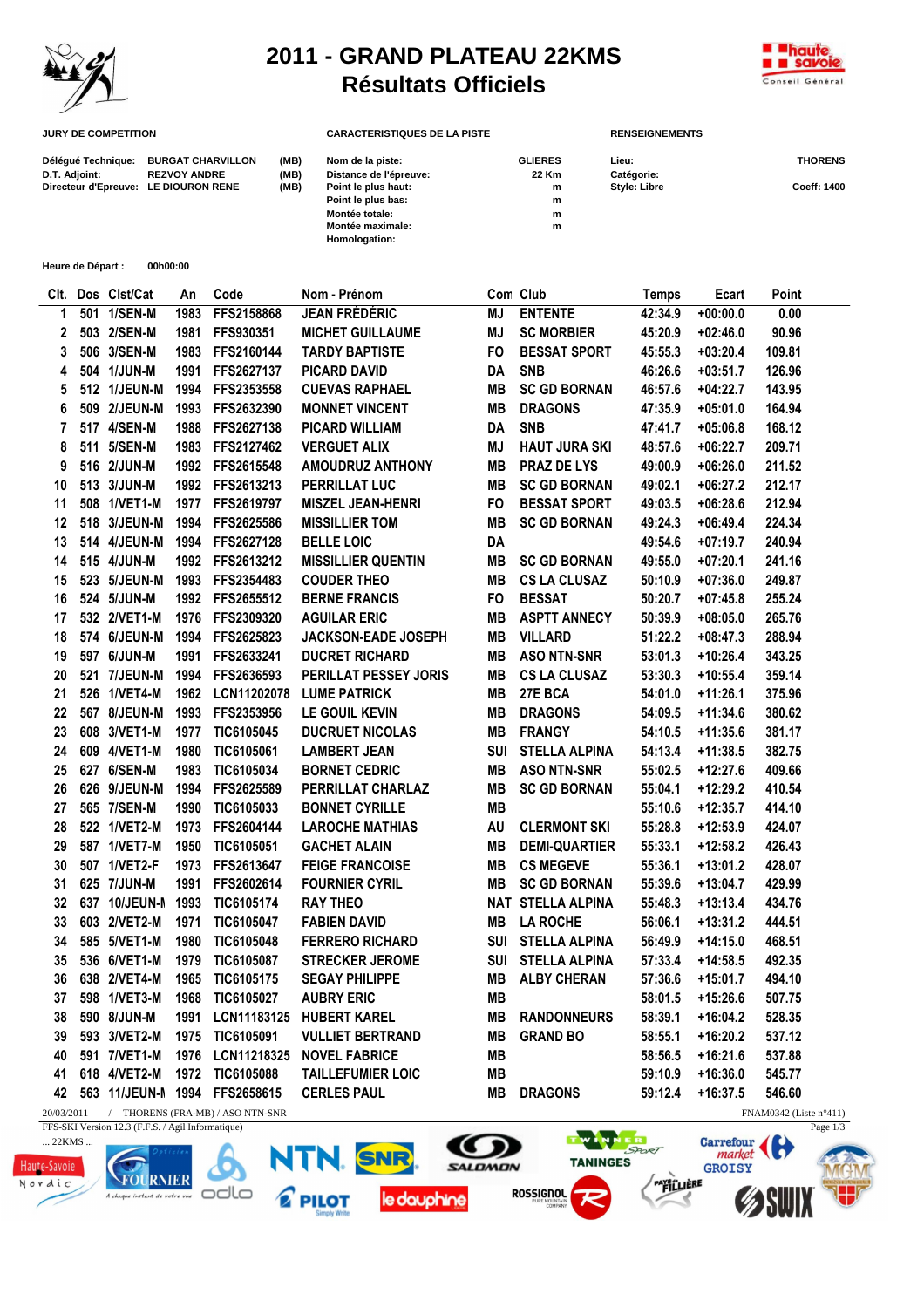

## **2011 - GRAND PLATEAU 22KMS Résultats Officiels**



| <b>JURY DE COMPETITION</b>           |                                                 |              | <b>CARACTERISTIQUES DE LA PISTE</b>                                                              |                         | <b>RENSEIGNEMENTS</b> |                |  |
|--------------------------------------|-------------------------------------------------|--------------|--------------------------------------------------------------------------------------------------|-------------------------|-----------------------|----------------|--|
| Délégué Technique:<br>D.T. Adjoint:  | <b>BURGAT CHARVILLON</b><br><b>REZVOY ANDRE</b> | (MB)<br>(MB) | Nom de la piste:<br>Distance de l'épreuve:                                                       | <b>GLIERES</b><br>22 Km | Lieu:<br>Catégorie:   | <b>THORENS</b> |  |
| Directeur d'Epreuve: LE DIOURON RENE |                                                 | (MB)         | Point le plus haut:<br>Point le plus bas:<br>Montée totale:<br>Montée maximale:<br>Homologation: | m<br>m<br>m<br>m        | <b>Style: Libre</b>   | Coeff: 1400    |  |

**Heure de Départ : 00h00:00**

| CIt.           | Dos Clst/Cat  | An   | Code                          | Nom - Prénom               |            | Con Club                 | <b>Temps</b> | Ecart      | Point  |
|----------------|---------------|------|-------------------------------|----------------------------|------------|--------------------------|--------------|------------|--------|
| 1              | 501 1/SEN-M   | 1983 | FFS2158868                    | JEAN FRÉDÉRIC              | <b>MJ</b>  | <b>ENTENTE</b>           | 42:34.9      | $+00:00.0$ | 0.00   |
| 2              | 503 2/SEN-M   | 1981 | FFS930351                     | <b>MICHET GUILLAUME</b>    | MJ         | <b>SC MORBIER</b>        | 45:20.9      | $+02:46.0$ | 90.96  |
| 3              | 506 3/SEN-M   | 1983 | FFS2160144                    | <b>TARDY BAPTISTE</b>      | <b>FO</b>  | <b>BESSAT SPORT</b>      | 45:55.3      | $+03:20.4$ | 109.81 |
| 4              | 504 1/JUN-M   | 1991 | FFS2627137                    | <b>PICARD DAVID</b>        | <b>DA</b>  | <b>SNB</b>               | 46:26.6      | $+03:51.7$ | 126.96 |
| 5              | 512 1/JEUN-M  | 1994 | FFS2353558                    | <b>CUEVAS RAPHAEL</b>      | MВ         | <b>SC GD BORNAN</b>      | 46:57.6      | $+04:22.7$ | 143.95 |
| 6              | 509 2/JEUN-M  | 1993 | FFS2632390                    | <b>MONNET VINCENT</b>      | MВ         | <b>DRAGONS</b>           | 47:35.9      | $+05:01.0$ | 164.94 |
| $\overline{7}$ | 517 4/SEN-M   | 1988 | FFS2627138                    | <b>PICARD WILLIAM</b>      | DA         | <b>SNB</b>               | 47:41.7      | $+05:06.8$ | 168.12 |
| 8              | 511 5/SEN-M   | 1983 | FFS2127462                    | <b>VERGUET ALIX</b>        | ΜJ         | <b>HAUT JURA SKI</b>     | 48:57.6      | $+06:22.7$ | 209.71 |
| 9              | 516 2/JUN-M   |      | 1992 FFS2615548               | <b>AMOUDRUZ ANTHONY</b>    | <b>MB</b>  | <b>PRAZ DE LYS</b>       | 49:00.9      | $+06:26.0$ | 211.52 |
| 10             | 513 3/JUN-M   |      | 1992 FFS2613213               | <b>PERRILLAT LUC</b>       | MВ         | <b>SC GD BORNAN</b>      | 49:02.1      | $+06:27.2$ | 212.17 |
| 11             | 508 1/VET1-M  | 1977 | FFS2619797                    | <b>MISZEL JEAN-HENRI</b>   | FO         | <b>BESSAT SPORT</b>      | 49:03.5      | $+06:28.6$ | 212.94 |
| 12             | 518 3/JEUN-M  | 1994 | FFS2625586                    | <b>MISSILLIER TOM</b>      | <b>MB</b>  | <b>SC GD BORNAN</b>      | 49:24.3      | $+06:49.4$ | 224.34 |
| 13             | 514 4/JEUN-M  | 1994 | FFS2627128                    | <b>BELLE LOIC</b>          | DA         |                          | 49:54.6      | $+07:19.7$ | 240.94 |
| 14             | 515 4/JUN-M   | 1992 | FFS2613212                    | <b>MISSILLIER QUENTIN</b>  | MВ         | <b>SC GD BORNAN</b>      | 49:55.0      | $+07:20.1$ | 241.16 |
| 15             | 523 5/JEUN-M  | 1993 | FFS2354483                    | <b>COUDER THEO</b>         | <b>MB</b>  | <b>CS LA CLUSAZ</b>      | 50:10.9      | $+07:36.0$ | 249.87 |
| 16             | 524 5/JUN-M   | 1992 | FFS2655512                    | <b>BERNE FRANCIS</b>       | FO         | <b>BESSAT</b>            | 50:20.7      | $+07:45.8$ | 255.24 |
| 17             | 532 2/VET1-M  | 1976 | FFS2309320                    | <b>AGUILAR ERIC</b>        | MВ         | <b>ASPTT ANNECY</b>      | 50:39.9      | $+08:05.0$ | 265.76 |
| 18             | 574 6/JEUN-M  | 1994 | FFS2625823                    | <b>JACKSON-EADE JOSEPH</b> | MВ         | <b>VILLARD</b>           | 51:22.2      | $+08:47.3$ | 288.94 |
| 19             | 597 6/JUN-M   | 1991 | FFS2633241                    | <b>DUCRET RICHARD</b>      | MВ         | <b>ASO NTN-SNR</b>       | 53:01.3      | $+10:26.4$ | 343.25 |
| 20             | 521 7/JEUN-M  | 1994 | FFS2636593                    | PERILLAT PESSEY JORIS      | <b>MB</b>  | <b>CS LA CLUSAZ</b>      | 53:30.3      | $+10:55.4$ | 359.14 |
| 21             | 526 1/VET4-M  | 1962 | LCN11202078                   | <b>LUME PATRICK</b>        | MВ         | 27E BCA                  | 54:01.0      | $+11:26.1$ | 375.96 |
| 22             | 567 8/JEUN-M  | 1993 | FFS2353956                    | <b>LE GOUIL KEVIN</b>      | MВ         | <b>DRAGONS</b>           | 54:09.5      | $+11:34.6$ | 380.62 |
| 23             | 608 3/VET1-M  | 1977 | TIC6105045                    | <b>DUCRUET NICOLAS</b>     | <b>MB</b>  | <b>FRANGY</b>            | 54:10.5      | $+11:35.6$ | 381.17 |
| 24             | 609 4/VET1-M  | 1980 | TIC6105061                    | <b>LAMBERT JEAN</b>        | <b>SUI</b> | <b>STELLA ALPINA</b>     | 54:13.4      | $+11:38.5$ | 382.75 |
| 25             | 627 6/SEN-M   | 1983 | TIC6105034                    | <b>BORNET CEDRIC</b>       | MВ         | <b>ASO NTN-SNR</b>       | 55:02.5      | $+12:27.6$ | 409.66 |
| 26             | 626 9/JEUN-M  | 1994 | FFS2625589                    | PERRILLAT CHARLAZ          | MВ         | <b>SC GD BORNAN</b>      | 55:04.1      | $+12:29.2$ | 410.54 |
| 27             | 565 7/SEN-M   | 1990 | TIC6105033                    | <b>BONNET CYRILLE</b>      | <b>MB</b>  |                          | 55:10.6      | $+12:35.7$ | 414.10 |
| 28             | 522 1/VET2-M  | 1973 | FFS2604144                    | <b>LAROCHE MATHIAS</b>     | AU         | <b>CLERMONT SKI</b>      | 55:28.8      | $+12:53.9$ | 424.07 |
| 29             | 587 1/VET7-M  | 1950 | TIC6105051                    | <b>GACHET ALAIN</b>        | MВ         | <b>DEMI-QUARTIER</b>     | 55:33.1      | $+12:58.2$ | 426.43 |
| 30             | 507 1/VET2-F  | 1973 | FFS2613647                    | <b>FEIGE FRANCOISE</b>     | MВ         | <b>CS MEGEVE</b>         | 55:36.1      | $+13:01.2$ | 428.07 |
| 31             | 625 7/JUN-M   | 1991 | FFS2602614                    | <b>FOURNIER CYRIL</b>      | MВ         | <b>SC GD BORNAN</b>      | 55:39.6      | $+13:04.7$ | 429.99 |
| 32             | 637 10/JEUN-M | 1993 | TIC6105174                    | <b>RAY THEO</b>            |            | <b>NAT STELLA ALPINA</b> | 55:48.3      | $+13:13.4$ | 434.76 |
| 33             | 603 2/VET2-M  | 1971 | <b>TIC6105047</b>             | <b>FABIEN DAVID</b>        | MВ         | <b>LA ROCHE</b>          | 56:06.1      | $+13:31.2$ | 444.51 |
| 34             | 585 5/VET1-M  | 1980 | TIC6105048                    | <b>FERRERO RICHARD</b>     |            | SUI STELLA ALPINA        | 56:49.9      | $+14:15.0$ | 468.51 |
| 35             | 536 6/VET1-M  | 1979 | TIC6105087                    | <b>STRECKER JEROME</b>     | <b>SUI</b> | <b>STELLA ALPINA</b>     | 57:33.4      | $+14:58.5$ | 492.35 |
| 36             | 638 2/VET4-M  | 1965 | TIC6105175                    | <b>SEGAY PHILIPPE</b>      | MВ         | <b>ALBY CHERAN</b>       | 57:36.6      | $+15:01.7$ | 494.10 |
| 37             | 598 1/VET3-M  | 1968 | TIC6105027                    | <b>AUBRY ERIC</b>          | MВ         |                          | 58:01.5      | $+15:26.6$ | 507.75 |
| 38             | 590 8/JUN-M   | 1991 | LCN11183125                   | <b>HUBERT KAREL</b>        | MВ         | <b>RANDONNEURS</b>       | 58:39.1      | $+16:04.2$ | 528.35 |
| 39             | 593 3/VET2-M  | 1975 | TIC6105091                    | <b>VULLIET BERTRAND</b>    | MВ         | <b>GRAND BO</b>          | 58:55.1      | $+16:20.2$ | 537.12 |
| 40             | 591 7/VET1-M  | 1976 | LCN11218325                   | <b>NOVEL FABRICE</b>       | MВ         |                          | 58:56.5      | $+16:21.6$ | 537.88 |
| 41             | 618 4/VET2-M  | 1972 | TIC6105088                    | <b>TAILLEFUMIER LOIC</b>   | <b>MB</b>  |                          | 59:10.9      | $+16:36.0$ | 545.77 |
| 42             |               |      | 563 11/JEUN-M 1994 FFS2658615 | <b>CERLES PAUL</b>         | <b>MB</b>  | <b>DRAGONS</b>           | 59:12.4      | $+16:37.5$ | 546.60 |
|                |               |      |                               |                            |            |                          |              |            |        |

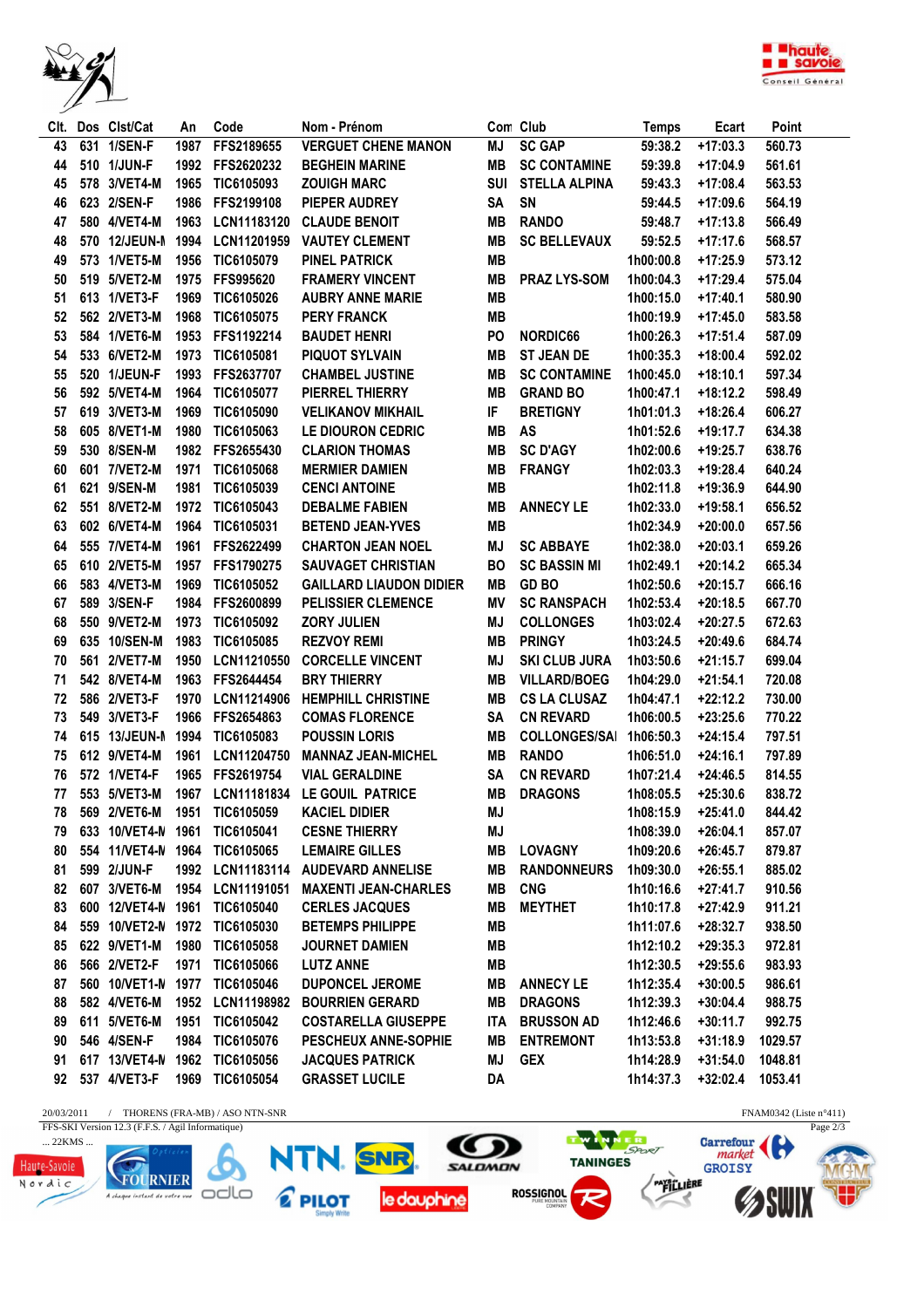



| CIt. | Dos Clst/Cat       | An   | Code                          | Nom - Prénom                   |            | Con Club             | <b>Temps</b> | Ecart      | Point   |
|------|--------------------|------|-------------------------------|--------------------------------|------------|----------------------|--------------|------------|---------|
| 43   | 631 1/SEN-F        | 1987 | FFS2189655                    | <b>VERGUET CHENE MANON</b>     | ΜJ         | <b>SC GAP</b>        | 59:38.2      | $+17:03.3$ | 560.73  |
| 44   | 510 1/JUN-F        | 1992 | FFS2620232                    | <b>BEGHEIN MARINE</b>          | MВ         | <b>SC CONTAMINE</b>  | 59:39.8      | $+17:04.9$ | 561.61  |
| 45   | 578 3/VET4-M       | 1965 | TIC6105093                    | <b>ZOUIGH MARC</b>             | <b>SUI</b> | <b>STELLA ALPINA</b> | 59:43.3      | $+17:08.4$ | 563.53  |
| 46   | 623 2/SEN-F        | 1986 | FFS2199108                    | PIEPER AUDREY                  | SA         | SN                   | 59:44.5      | $+17:09.6$ | 564.19  |
| 47   | 580 4/VET4-M       | 1963 | LCN11183120                   | <b>CLAUDE BENOIT</b>           | MВ         | <b>RANDO</b>         | 59:48.7      | $+17:13.8$ | 566.49  |
| 48   | 570 12/JEUN-M      | 1994 | LCN11201959                   | <b>VAUTEY CLEMENT</b>          | MВ         | <b>SC BELLEVAUX</b>  | 59:52.5      | $+17:17.6$ | 568.57  |
| 49   | 573 1/VET5-M       | 1956 | TIC6105079                    | <b>PINEL PATRICK</b>           | MВ         |                      | 1h00:00.8    | $+17:25.9$ | 573.12  |
| 50   | 519 5/VET2-M       | 1975 | FFS995620                     | <b>FRAMERY VINCENT</b>         | MВ         | <b>PRAZ LYS-SOM</b>  | 1h00:04.3    | $+17:29.4$ | 575.04  |
| 51   | 613 1/VET3-F       | 1969 | TIC6105026                    | <b>AUBRY ANNE MARIE</b>        | <b>MB</b>  |                      | 1h00:15.0    | $+17:40.1$ | 580.90  |
| 52   | 562 2/VET3-M       | 1968 | TIC6105075                    | <b>PERY FRANCK</b>             | MВ         |                      | 1h00:19.9    | +17:45.0   | 583.58  |
| 53   | 584 1/VET6-M       | 1953 | FFS1192214                    | <b>BAUDET HENRI</b>            | PO         | NORDIC66             | 1h00:26.3    | $+17:51.4$ | 587.09  |
| 54   | 533 6/VET2-M       | 1973 | TIC6105081                    | <b>PIQUOT SYLVAIN</b>          | MВ         | <b>ST JEAN DE</b>    | 1h00:35.3    | $+18:00.4$ | 592.02  |
| 55   | 520 1/JEUN-F       | 1993 | FFS2637707                    | <b>CHAMBEL JUSTINE</b>         | MВ         | <b>SC CONTAMINE</b>  | 1h00:45.0    | $+18:10.1$ | 597.34  |
| 56   | 592 5/VET4-M       | 1964 | TIC6105077                    | PIERREL THIERRY                | <b>MB</b>  | <b>GRAND BO</b>      | 1h00:47.1    | $+18:12.2$ | 598.49  |
| 57   | 619 3/VET3-M       | 1969 | TIC6105090                    | <b>VELIKANOV MIKHAIL</b>       | IF         | <b>BRETIGNY</b>      | 1h01:01.3    | $+18:26.4$ | 606.27  |
| 58   | 605 8/VET1-M       | 1980 | TIC6105063                    | LE DIOURON CEDRIC              | MВ         | AS                   | 1h01:52.6    | +19:17.7   | 634.38  |
| 59   | 530 8/SEN-M        | 1982 | FFS2655430                    | <b>CLARION THOMAS</b>          | MВ         | <b>SC D'AGY</b>      | 1h02:00.6    | $+19:25.7$ | 638.76  |
| 60   | 601 7/VET2-M       | 1971 | TIC6105068                    | <b>MERMIER DAMIEN</b>          | MВ         | <b>FRANGY</b>        | 1h02:03.3    | $+19:28.4$ | 640.24  |
| 61   | 621 9/SEN-M        | 1981 | TIC6105039                    | <b>CENCI ANTOINE</b>           | MВ         |                      | 1h02:11.8    | +19:36.9   | 644.90  |
| 62   | 551 8/VET2-M       | 1972 | TIC6105043                    | <b>DEBALME FABIEN</b>          | MВ         | <b>ANNECY LE</b>     | 1h02:33.0    | $+19:58.1$ | 656.52  |
| 63   | 602 6/VET4-M       | 1964 | TIC6105031                    | <b>BETEND JEAN-YVES</b>        | <b>MB</b>  |                      | 1h02:34.9    | $+20:00.0$ | 657.56  |
| 64   | 555 7/VET4-M       | 1961 | FFS2622499                    | <b>CHARTON JEAN NOEL</b>       | ΜJ         | <b>SC ABBAYE</b>     | 1h02:38.0    | $+20:03.1$ | 659.26  |
| 65   | 610 2/VET5-M       | 1957 | FFS1790275                    | <b>SAUVAGET CHRISTIAN</b>      | <b>BO</b>  | <b>SC BASSIN MI</b>  | 1h02:49.1    | $+20:14.2$ | 665.34  |
| 66   | 583 4/VET3-M       | 1969 | TIC6105052                    | <b>GAILLARD LIAUDON DIDIER</b> | MВ         | <b>GD BO</b>         | 1h02:50.6    | $+20:15.7$ | 666.16  |
| 67   | 589 3/SEN-F        | 1984 | FFS2600899                    | <b>PELISSIER CLEMENCE</b>      | ΜV         | <b>SC RANSPACH</b>   | 1h02:53.4    | $+20:18.5$ | 667.70  |
| 68   | 550 9/VET2-M       | 1973 | TIC6105092                    | <b>ZORY JULIEN</b>             | ΜJ         | <b>COLLONGES</b>     | 1h03:02.4    | $+20:27.5$ | 672.63  |
| 69   | 635 10/SEN-M       | 1983 | TIC6105085                    | <b>REZVOY REMI</b>             | <b>MB</b>  | <b>PRINGY</b>        | 1h03:24.5    | $+20:49.6$ | 684.74  |
| 70   | 561 2/VET7-M       | 1950 | LCN11210550                   | <b>CORCELLE VINCENT</b>        | MJ         | <b>SKI CLUB JURA</b> | 1h03:50.6    | $+21:15.7$ | 699.04  |
| 71   | 542 8/VET4-M       | 1963 | FFS2644454                    | <b>BRY THIERRY</b>             | <b>MB</b>  | <b>VILLARD/BOEG</b>  | 1h04:29.0    | $+21:54.1$ | 720.08  |
| 72   | 586 2/VET3-F       | 1970 | LCN11214906                   | <b>HEMPHILL CHRISTINE</b>      | <b>MB</b>  | <b>CS LA CLUSAZ</b>  | 1h04:47.1    | $+22:12.2$ | 730.00  |
| 73   | 549 3/VET3-F       | 1966 | FFS2654863                    | <b>COMAS FLORENCE</b>          | SA         | <b>CN REVARD</b>     | 1h06:00.5    | $+23:25.6$ | 770.22  |
| 74   | 615 13/JEUN-M      | 1994 | TIC6105083                    | <b>POUSSIN LORIS</b>           | MВ         | <b>COLLONGES/SAI</b> | 1h06:50.3    | $+24:15.4$ | 797.51  |
| 75   | 612 9/VET4-M       | 1961 | LCN11204750                   | <b>MANNAZ JEAN-MICHEL</b>      | MВ         | <b>RANDO</b>         | 1h06:51.0    | $+24:16.1$ | 797.89  |
| 76   | 572 1/VET4-F       | 1965 | FFS2619754                    | <b>VIAL GERALDINE</b>          | SA         | <b>CN REVARD</b>     | 1h07:21.4    | $+24:46.5$ | 814.55  |
| 77   | 553 5/VET3-M       | 1967 | LCN11181834                   | LE GOUIL PATRICE               | MВ         | <b>DRAGONS</b>       | 1h08:05.5    | $+25:30.6$ | 838.72  |
| 78   |                    |      | 569 2/VET6-M 1951 TIC6105059  | <b>KACIEL DIDIER</b>           | ΜJ         |                      | 1h08:15.9    | $+25:41.0$ | 844.42  |
| 79   |                    |      | 633 10/VET4-N 1961 TIC6105041 | <b>CESNE THIERRY</b>           | ΜJ         |                      | 1h08:39.0    | $+26:04.1$ | 857.07  |
| 80   |                    |      | 554 11/VET4-N 1964 TIC6105065 | <b>LEMAIRE GILLES</b>          | MВ         | <b>LOVAGNY</b>       | 1h09:20.6    | $+26:45.7$ | 879.87  |
| 81   | 599 2/JUN-F        |      | 1992 LCN11183114              | <b>AUDEVARD ANNELISE</b>       | MВ         | <b>RANDONNEURS</b>   | 1h09:30.0    | $+26:55.1$ | 885.02  |
| 82   | 607 3/VET6-M       |      | 1954 LCN11191051              | <b>MAXENTI JEAN-CHARLES</b>    | MВ         | <b>CNG</b>           | 1h10:16.6    | $+27:41.7$ | 910.56  |
| 83   |                    |      | 600 12/VET4-N 1961 TIC6105040 | <b>CERLES JACQUES</b>          | MВ         | <b>MEYTHET</b>       | 1h10:17.8    | $+27:42.9$ | 911.21  |
| 84   |                    |      | 559 10/VET2-N 1972 TIC6105030 | <b>BETEMPS PHILIPPE</b>        | MB         |                      | 1h11:07.6    | $+28:32.7$ | 938.50  |
| 85   | 622 9/VET1-M       |      | 1980 TIC6105058               | <b>JOURNET DAMIEN</b>          | MВ         |                      | 1h12:10.2    | $+29:35.3$ | 972.81  |
| 86   | 566 2/VET2-F       | 1971 | TIC6105066                    | <b>LUTZ ANNE</b>               | MВ         |                      | 1h12:30.5    | $+29:55.6$ | 983.93  |
| 87   | 560 10/VET1-N 1977 |      | TIC6105046                    | <b>DUPONCEL JEROME</b>         | MВ         | <b>ANNECY LE</b>     | 1h12:35.4    | $+30:00.5$ | 986.61  |
| 88   | 582 4/VET6-M       | 1952 | LCN11198982                   | <b>BOURRIEN GERARD</b>         | MВ         | <b>DRAGONS</b>       | 1h12:39.3    | $+30:04.4$ | 988.75  |
| 89   | 611 5/VET6-M       | 1951 | TIC6105042                    | <b>COSTARELLA GIUSEPPE</b>     | ITA        | <b>BRUSSON AD</b>    | 1h12:46.6    | $+30:11.7$ | 992.75  |
| 90   | 546 4/SEN-F        | 1984 | TIC6105076                    | <b>PESCHEUX ANNE-SOPHIE</b>    | MВ         | <b>ENTREMONT</b>     | 1h13:53.8    | $+31:18.9$ | 1029.57 |
| 91   | 617 13/VET4-N 1962 |      | TIC6105056                    | <b>JACQUES PATRICK</b>         | ΜJ         | <b>GEX</b>           | 1h14:28.9    | $+31:54.0$ | 1048.81 |
| 92   | 537 4/VET3-F       | 1969 | TIC6105054                    | <b>GRASSET LUCILE</b>          | DA         |                      | 1h14:37.3    | $+32:02.4$ | 1053.41 |
|      |                    |      |                               |                                |            |                      |              |            |         |